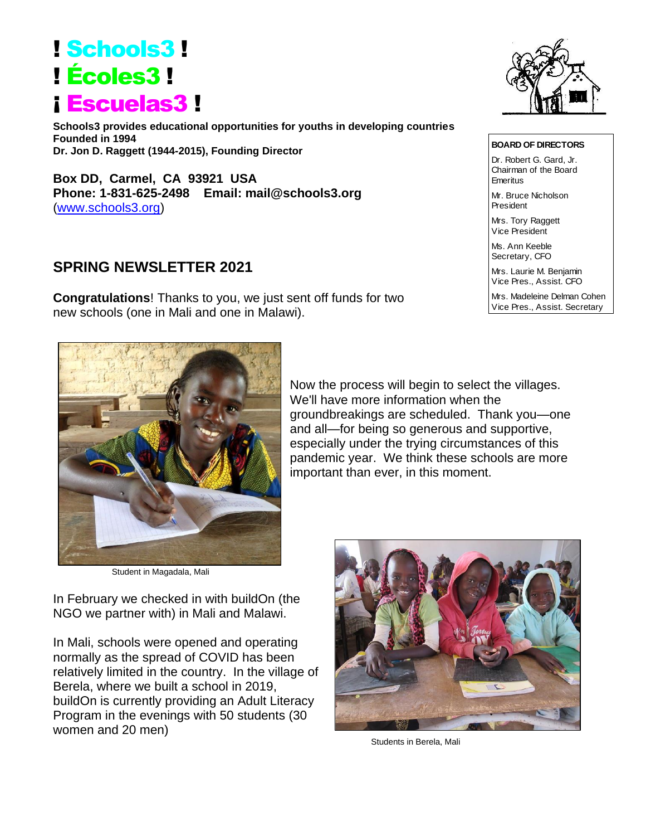## ! Schools3 ! ! Écoles3 ! ¡ Escuelas3 !

**Schools3 provides educational opportunities for youths in developing countries Founded in 1994 Dr. Jon D. Raggett (1944-2015), Founding Director**

**Box DD, Carmel, CA 93921 USA Phone: 1-831-625-2498 Email: mail@schools3.org**  [\(www.schools3.org\)](http://www.schools3.org/)

## **SPRING NEWSLETTER 2021**

**Congratulations**! Thanks to you, we just sent off funds for two new schools (one in Mali and one in Malawi).



**BOARD OF DIRECTORS** Dr. Robert G. Gard, Jr. Chairman of the Board

Mr. Bruce Nicholson President

Mrs. Tory Raggett Vice President

Emeritus

Ms. Ann Keeble Secretary, CFO

Mrs. Laurie M. Benjamin Vice Pres., Assist. CFO

Mrs. Madeleine Delman Cohen Vice Pres., Assist. Secretary



Student in Magadala, Mali

In February we checked in with buildOn (the NGO we partner with) in Mali and Malawi.

In Mali, schools were opened and operating normally as the spread of COVID has been relatively limited in the country. In the village of Berela, where we built a school in 2019, buildOn is currently providing an Adult Literacy Program in the evenings with 50 students (30 women and 20 men)



Now the process will begin to select the villages.

groundbreakings are scheduled. Thank you—one and all—for being so generous and supportive, especially under the trying circumstances of this pandemic year. We think these schools are more

We'll have more information when the

important than ever, in this moment.

Students in Berela, Mali